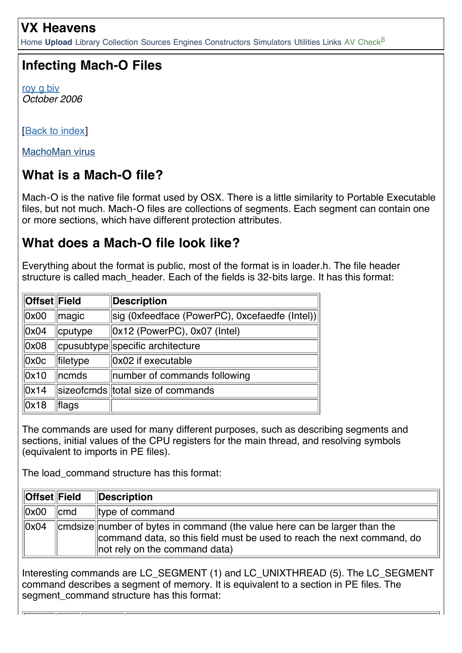#### **VX Heavens**

[Home](http://vx.netlux.org/) **[Upload](http://vx.org.ua/upload.php)** [Library](http://vx.netlux.org/lib/) [Collection](http://vx.netlux.org/vl.php) [Sources](http://vx.netlux.org/src.php) [Engines](http://vx.netlux.org/vx.php?id=eidx) [Constructors](http://vx.netlux.org/vx.php?id=tidx) [Simulators](http://vx.netlux.org/vx.php?id=sidx) [Utilities](http://vx.netlux.org/vx.php?id=uidx) [Links](http://vx.netlux.org/links.php) [AV Check](http://vx.org.ua/av.php)<sup>β</sup>

### **Infecting Mach-O Files**

[roy g biv](http://vx.netlux.org/lib/?lang=EN&author=roy%20g%20biv) *October 2006*

[**Back to index**]

[MachoMan virus](http://vx.netlux.org/src.php?info=machoman.zip)

## **What is a Mach-O file?**

Mach-O is the native file format used by OSX. There is a little similarity to Portable Executable files, but not much. Mach-O files are collections of segments. Each segment can contain one or more sections, which have different protection attributes.

#### **What does a Mach-O file look like?**

Everything about the format is public, most of the format is in loader.h. The file header structure is called mach header. Each of the fields is 32-bits large. It has this format:

| ∥Offset∥Field    |          | <b>Description</b>                             |
|------------------|----------|------------------------------------------------|
| $\parallel$ 0x00 | magic    | sig (0xfeedface (PowerPC), 0xcefaedfe (Intel)) |
| $\vert$ OxO4     | cputype  | $\vert$ 0x12 (PowerPC), 0x07 (Intel)           |
| $\vert$ OxO8     |          | cpusubtype specific architecture               |
| $\parallel$ OxOc | filetype | 0x02 if executable                             |
| $\parallel$ 0x10 | ncmds    | number of commands following                   |
| $\vert$ Ox14     |          | sizeofcmds total size of commands              |
| $\vert$ Ox18     | flags    |                                                |

The commands are used for many different purposes, such as describing segments and sections, initial values of the CPU registers for the main thread, and resolving symbols (equivalent to imports in PE files).

The load command structure has this format:

| <b>Offset</b> Field |                  | Description                                                                                                                                                                                      |  |
|---------------------|------------------|--------------------------------------------------------------------------------------------------------------------------------------------------------------------------------------------------|--|
| $\parallel$ 0x00    | $\mathsf{I}$ cmd | $\parallel$ type of command                                                                                                                                                                      |  |
| $\parallel$ 0x04    |                  | cmdsize number of bytes in command (the value here can be larger than the<br>command data, so this field must be used to reach the next command, do<br>$\parallel$ not rely on the command data) |  |

Interesting commands are LC\_SEGMENT (1) and LC\_UNIXTHREAD (5). The LC\_SEGMENT command describes a segment of memory. It is equivalent to a section in PE files. The segment command structure has this format: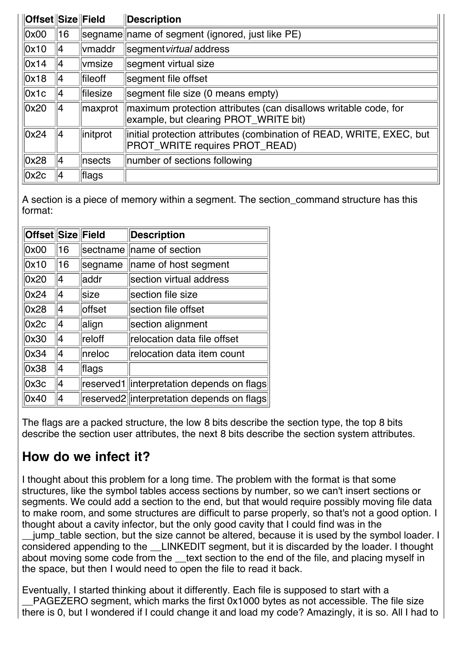| <b>Offset Size Field</b> |    |                 | <b>Description</b>                                                                                       |  |
|--------------------------|----|-----------------|----------------------------------------------------------------------------------------------------------|--|
| 0x00                     | 16 |                 | segname name of segment (ignored, just like PE)                                                          |  |
| 0x10                     | 14 | vmaddr          | segment virtual address                                                                                  |  |
| 0x14                     | 14 | vmsize          | segment virtual size                                                                                     |  |
| 0x18                     | 14 | fileoff         | segment file offset                                                                                      |  |
| Ox1c                     | 14 | <b>filesize</b> | segment file size (0 means empty)                                                                        |  |
| 0x20                     | 14 | maxprot         | maximum protection attributes (can disallows writable code, for<br>example, but clearing PROT_WRITE bit) |  |
| 0x24                     | 14 | linitprot       | initial protection attributes (combination of READ, WRITE, EXEC, but<br>PROT_WRITE requires PROT_READ)   |  |
| 0x28                     | 14 | nsects          | number of sections following                                                                             |  |
| 0x2c                     | 14 | flags           |                                                                                                          |  |

A section is a piece of memory within a segment. The section command structure has this format:

| Offset Size Field |                |             | <b>Description</b>                        |
|-------------------|----------------|-------------|-------------------------------------------|
| 0x00              | 16             |             | sectname   name of section                |
| 0x10              | 16             | segname     | name of host segment                      |
| 0x20              | 4              | addr        | section virtual address                   |
| 0x24              | 14             | <b>Size</b> | section file size                         |
| 0x28              | $\overline{4}$ | offset      | section file offset                       |
| 0x2c              | $\overline{4}$ | align       | section alignment                         |
| 0x30              | 4              | reloff      | relocation data file offset               |
| 0x34              | 4              | Inreloc     | relocation data item count                |
| 0x38              | 4              | flags       |                                           |
| 0x3c              | 4              | reserved1   | interpretation depends on flags           |
| 0x40              | 4              |             | reserved2 interpretation depends on flags |

The flags are a packed structure, the low 8 bits describe the section type, the top 8 bits describe the section user attributes, the next 8 bits describe the section system attributes.

### **How do we infect it?**

I thought about this problem for a long time. The problem with the format is that some structures, like the symbol tables access sections by number, so we can't insert sections or segments. We could add a section to the end, but that would require possibly moving file data to make room, and some structures are difficult to parse properly, so that's not a good option. I thought about a cavity infector, but the only good cavity that I could find was in the

\_\_jump\_table section, but the size cannot be altered, because it is used by the symbol loader. I considered appending to the \_\_LINKEDIT segment, but it is discarded by the loader. I thought about moving some code from the \_\_text section to the end of the file, and placing myself in the space, but then I would need to open the file to read it back.

Eventually, I started thinking about it differently. Each file is supposed to start with a \_\_PAGEZERO segment, which marks the first 0x1000 bytes as not accessible. The file size there is 0, but I wondered if I could change it and load my code? Amazingly, it is so. All I had to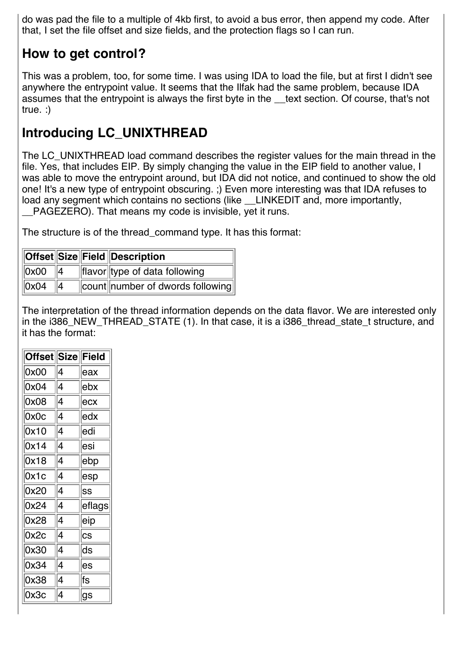do was pad the file to a multiple of 4kb first, to avoid a bus error, then append my code. After that, I set the file offset and size fields, and the protection flags so I can run.

# **How to get control?**

This was a problem, too, for some time. I was using IDA to load the file, but at first I didn't see anywhere the entrypoint value. It seems that the Ilfak had the same problem, because IDA assumes that the entrypoint is always the first byte in the text section. Of course, that's not true. :)

# **Introducing LC\_UNIXTHREAD**

The LC\_UNIXTHREAD load command describes the register values for the main thread in the file. Yes, that includes EIP. By simply changing the value in the EIP field to another value, I was able to move the entrypoint around, but IDA did not notice, and continued to show the old one! It's a new type of entrypoint obscuring. ;) Even more interesting was that IDA refuses to load any segment which contains no sections (like LINKEDIT and, more importantly, PAGEZERO). That means my code is invisible, yet it runs.

The structure is of the thread\_command type. It has this format:

|                  |    | <b>Offset Size Field Description</b>            |
|------------------|----|-------------------------------------------------|
| $\parallel$ 0x00 | ‼4 | $\ $ flavor $\ $ type of data following         |
| $\ 0x04\ $       |    | $\ $ count $\ $ number of dwords following $\ $ |

The interpretation of the thread information depends on the data flavor. We are interested only in the i386 NEW THREAD STATE (1). In that case, it is a i386 thread state t structure, and it has the format:

| $ \mathsf{Offset} $ |   | Size Field |
|---------------------|---|------------|
| 0x00                | 4 | ∣eax       |
| 0x04                | 4 | ∣ebx       |
| 0x08                | 4 | ∣ecx       |
| 0x0c                | 4 | ∣edx       |
| 0x10                | 4 | ∣edi       |
| 0x14                | 4 | ∣esi       |
| 0x18                | 4 | ∣ebp       |
| 0x1c                | 4 | ∣esp       |
| 0x20                | 4 | SS         |
| 0x24                | 4 | eflags     |
| 0x28                | 4 | ∣eip       |
| 0x2c                | 4 | cs         |
| 0x30                | 4 | ds         |
| 0x34                | 4 | ∣es        |
| 0x38                | 4 | ∣fs        |
| 0x3c                | 4 | ∣gs        |